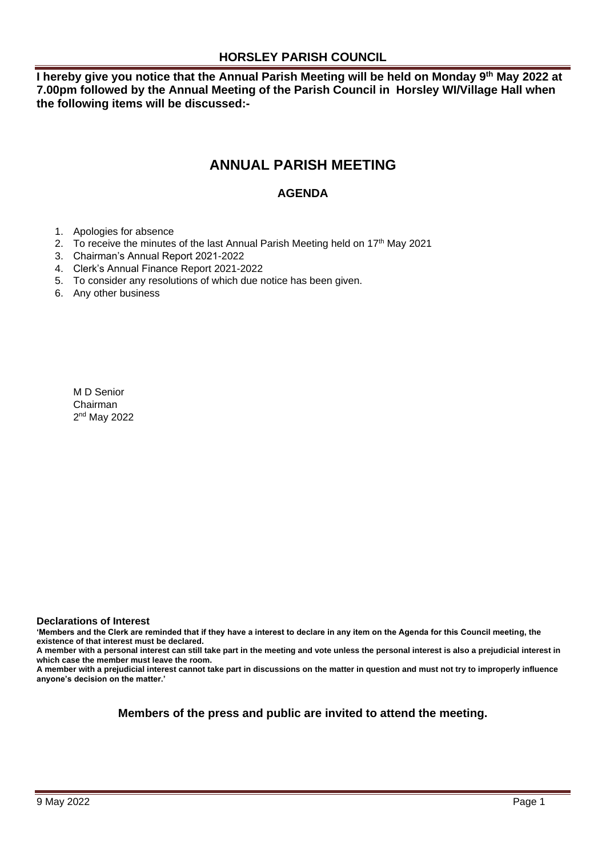### **HORSLEY PARISH COUNCIL**

**I hereby give you notice that the Annual Parish Meeting will be held on Monday 9th May 2022 at 7.00pm followed by the Annual Meeting of the Parish Council in Horsley WI/Village Hall when the following items will be discussed:-**

## **ANNUAL PARISH MEETING**

### **AGENDA**

- 1. Apologies for absence
- 2. To receive the minutes of the last Annual Parish Meeting held on 17<sup>th</sup> May 2021
- 3. Chairman's Annual Report 2021-2022
- 4. Clerk's Annual Finance Report 2021-2022
- 5. To consider any resolutions of which due notice has been given.
- 6. Any other business

M D Senior Chairman 2<sup>nd</sup> May 2022

#### **Declarations of Interest**

**'Members and the Clerk are reminded that if they have a interest to declare in any item on the Agenda for this Council meeting, the existence of that interest must be declared.** 

**A member with a personal interest can still take part in the meeting and vote unless the personal interest is also a prejudicial interest in which case the member must leave the room.** 

**A member with a prejudicial interest cannot take part in discussions on the matter in question and must not try to improperly influence anyone's decision on the matter.'** 

### **Members of the press and public are invited to attend the meeting.**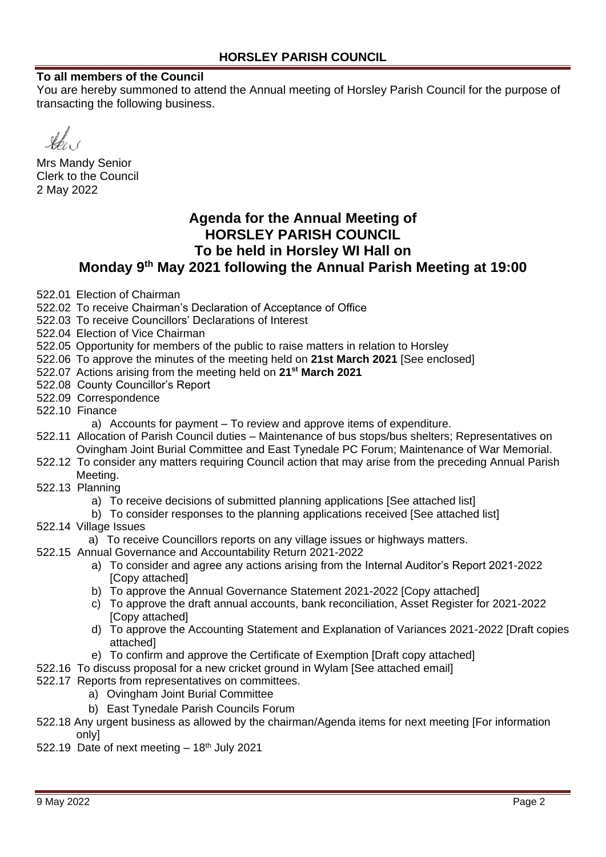### **To all members of the Council**

You are hereby summoned to attend the Annual meeting of Horsley Parish Council for the purpose of transacting the following business.

Mrs Mandy Senior Clerk to the Council 2 May 2022

## **Agenda for the Annual Meeting of HORSLEY PARISH COUNCIL To be held in Horsley WI Hall on Monday 9th May 2021 following the Annual Parish Meeting at 19:00**

- 522.01 Election of Chairman
- 522.02 To receive Chairman's Declaration of Acceptance of Office
- 522.03 To receive Councillors' Declarations of Interest
- 522.04 Election of Vice Chairman
- 522.05 Opportunity for members of the public to raise matters in relation to Horsley
- 522.06 To approve the minutes of the meeting held on **21st March 2021** [See enclosed]
- 522.07 Actions arising from the meeting held on **21st March 2021**
- 522.08 County Councillor's Report
- 522.09 Correspondence
- 522.10 Finance
	- a) Accounts for payment To review and approve items of expenditure.
- 522.11 Allocation of Parish Council duties Maintenance of bus stops/bus shelters; Representatives on Ovingham Joint Burial Committee and East Tynedale PC Forum; Maintenance of War Memorial.
- 522.12 To consider any matters requiring Council action that may arise from the preceding Annual Parish Meeting.
- 522.13 Planning
	- a) To receive decisions of submitted planning applications [See attached list]
	- b) To consider responses to the planning applications received [See attached list]
- 522.14 Village Issues
	- a) To receive Councillors reports on any village issues or highways matters.
- 522.15 Annual Governance and Accountability Return 2021-2022
	- a) To consider and agree any actions arising from the Internal Auditor's Report 2021-2022 [Copy attached]
	- b) To approve the Annual Governance Statement 2021-2022 [Copy attached]
	- c) To approve the draft annual accounts, bank reconciliation, Asset Register for 2021-2022 [Copy attached]
	- d) To approve the Accounting Statement and Explanation of Variances 2021-2022 [Draft copies attached]
	- e) To confirm and approve the Certificate of Exemption [Draft copy attached]
- 522.16 To discuss proposal for a new cricket ground in Wylam [See attached email]
- 522.17 Reports from representatives on committees.
	- a) Ovingham Joint Burial Committee
	- b) East Tynedale Parish Councils Forum
- 522.18 Any urgent business as allowed by the chairman/Agenda items for next meeting [For information only]
- 522.19 Date of next meeting  $-18<sup>th</sup>$  July 2021